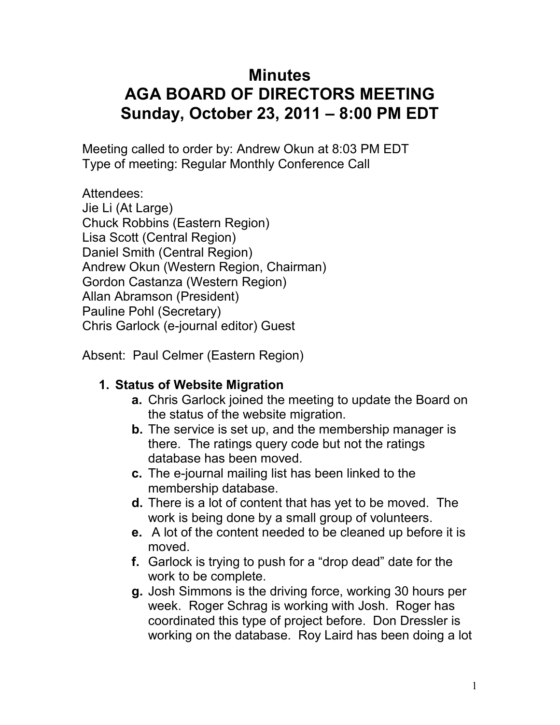# **Minutes AGA BOARD OF DIRECTORS MEETING Sunday, October 23, 2011 – 8:00 PM EDT**

Meeting called to order by: Andrew Okun at 8:03 PM EDT Type of meeting: Regular Monthly Conference Call

Attendees:

Jie Li (At Large) Chuck Robbins (Eastern Region) Lisa Scott (Central Region) Daniel Smith (Central Region) Andrew Okun (Western Region, Chairman) Gordon Castanza (Western Region) Allan Abramson (President) Pauline Pohl (Secretary) Chris Garlock (e-journal editor) Guest

Absent: Paul Celmer (Eastern Region)

## **1. Status of Website Migration**

- **a.** Chris Garlock joined the meeting to update the Board on the status of the website migration.
- **b.** The service is set up, and the membership manager is there. The ratings query code but not the ratings database has been moved.
- **c.** The e-journal mailing list has been linked to the membership database.
- **d.** There is a lot of content that has yet to be moved. The work is being done by a small group of volunteers.
- **e.** A lot of the content needed to be cleaned up before it is moved.
- **f.** Garlock is trying to push for a "drop dead" date for the work to be complete.
- **g.** Josh Simmons is the driving force, working 30 hours per week. Roger Schrag is working with Josh. Roger has coordinated this type of project before. Don Dressler is working on the database. Roy Laird has been doing a lot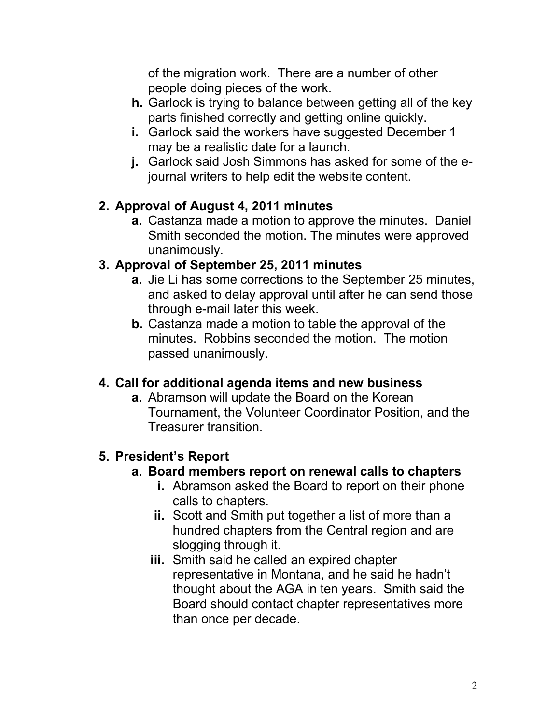of the migration work. There are a number of other people doing pieces of the work.

- **h.** Garlock is trying to balance between getting all of the key parts finished correctly and getting online quickly.
- **i.** Garlock said the workers have suggested December 1 may be a realistic date for a launch.
- **j.** Garlock said Josh Simmons has asked for some of the ejournal writers to help edit the website content.

## **2. Approval of August 4, 2011 minutes**

**a.** Castanza made a motion to approve the minutes. Daniel Smith seconded the motion. The minutes were approved unanimously.

## **3. Approval of September 25, 2011 minutes**

- **a.** Jie Li has some corrections to the September 25 minutes, and asked to delay approval until after he can send those through e-mail later this week.
- **b.** Castanza made a motion to table the approval of the minutes. Robbins seconded the motion. The motion passed unanimously.

## **4. Call for additional agenda items and new business**

**a.** Abramson will update the Board on the Korean Tournament, the Volunteer Coordinator Position, and the Treasurer transition.

## **5. President's Report**

### **a. Board members report on renewal calls to chapters**

- **i.** Abramson asked the Board to report on their phone calls to chapters.
- **ii.** Scott and Smith put together a list of more than a hundred chapters from the Central region and are slogging through it.
- **iii.** Smith said he called an expired chapter representative in Montana, and he said he hadn't thought about the AGA in ten years. Smith said the Board should contact chapter representatives more than once per decade.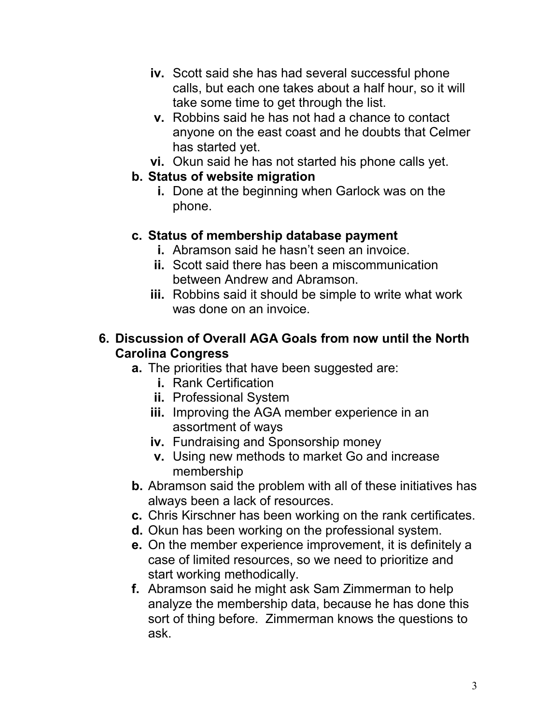- **iv.** Scott said she has had several successful phone calls, but each one takes about a half hour, so it will take some time to get through the list.
- **v.** Robbins said he has not had a chance to contact anyone on the east coast and he doubts that Celmer has started yet.
- **vi.** Okun said he has not started his phone calls yet.

### **b. Status of website migration**

**i.** Done at the beginning when Garlock was on the phone.

## **c. Status of membership database payment**

- **i.** Abramson said he hasn't seen an invoice.
- **ii.** Scott said there has been a miscommunication between Andrew and Abramson.
- **iii.** Robbins said it should be simple to write what work was done on an invoice.

### **6. Discussion of Overall AGA Goals from now until the North Carolina Congress**

- **a.** The priorities that have been suggested are:
	- **i.** Rank Certification
	- **ii.** Professional System
	- **iii.** Improving the AGA member experience in an assortment of ways
	- **iv.** Fundraising and Sponsorship money
	- **v.** Using new methods to market Go and increase membership
- **b.** Abramson said the problem with all of these initiatives has always been a lack of resources.
- **c.** Chris Kirschner has been working on the rank certificates.
- **d.** Okun has been working on the professional system.
- **e.** On the member experience improvement, it is definitely a case of limited resources, so we need to prioritize and start working methodically.
- **f.** Abramson said he might ask Sam Zimmerman to help analyze the membership data, because he has done this sort of thing before. Zimmerman knows the questions to ask.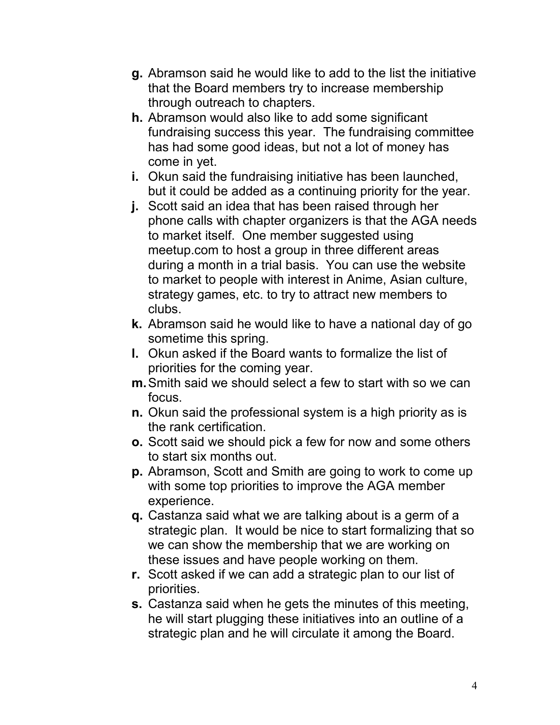- **g.** Abramson said he would like to add to the list the initiative that the Board members try to increase membership through outreach to chapters.
- **h.** Abramson would also like to add some significant fundraising success this year. The fundraising committee has had some good ideas, but not a lot of money has come in yet.
- **i.** Okun said the fundraising initiative has been launched, but it could be added as a continuing priority for the year.
- **j.** Scott said an idea that has been raised through her phone calls with chapter organizers is that the AGA needs to market itself. One member suggested using meetup.com to host a group in three different areas during a month in a trial basis. You can use the website to market to people with interest in Anime, Asian culture, strategy games, etc. to try to attract new members to clubs.
- **k.** Abramson said he would like to have a national day of go sometime this spring.
- **l.** Okun asked if the Board wants to formalize the list of priorities for the coming year.
- **m.** Smith said we should select a few to start with so we can focus.
- **n.** Okun said the professional system is a high priority as is the rank certification.
- **o.** Scott said we should pick a few for now and some others to start six months out.
- **p.** Abramson, Scott and Smith are going to work to come up with some top priorities to improve the AGA member experience.
- **q.** Castanza said what we are talking about is a germ of a strategic plan. It would be nice to start formalizing that so we can show the membership that we are working on these issues and have people working on them.
- **r.** Scott asked if we can add a strategic plan to our list of priorities.
- **s.** Castanza said when he gets the minutes of this meeting, he will start plugging these initiatives into an outline of a strategic plan and he will circulate it among the Board.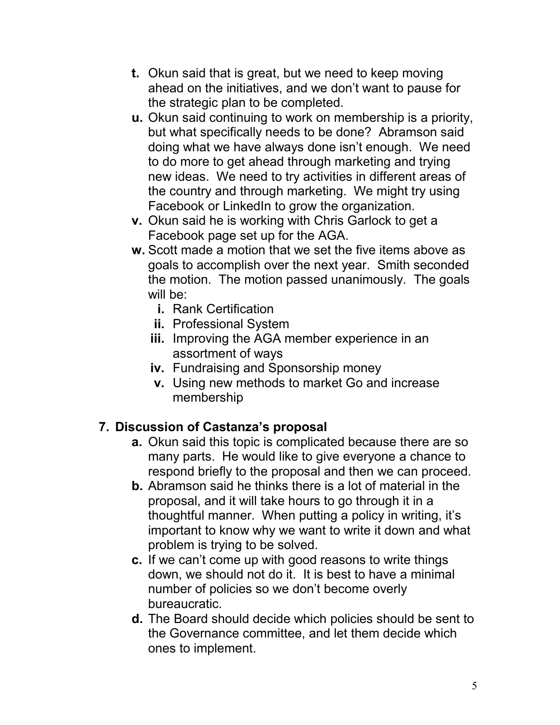- **t.** Okun said that is great, but we need to keep moving ahead on the initiatives, and we don't want to pause for the strategic plan to be completed.
- **u.** Okun said continuing to work on membership is a priority, but what specifically needs to be done? Abramson said doing what we have always done isn't enough. We need to do more to get ahead through marketing and trying new ideas. We need to try activities in different areas of the country and through marketing. We might try using Facebook or LinkedIn to grow the organization.
- **v.** Okun said he is working with Chris Garlock to get a Facebook page set up for the AGA.
- **w.** Scott made a motion that we set the five items above as goals to accomplish over the next year. Smith seconded the motion. The motion passed unanimously. The goals will be:
	- **i.** Rank Certification
	- **ii.** Professional System
	- **iii.** Improving the AGA member experience in an assortment of ways
	- **iv.** Fundraising and Sponsorship money
	- **v.** Using new methods to market Go and increase membership

## **7. Discussion of Castanza's proposal**

- **a.** Okun said this topic is complicated because there are so many parts. He would like to give everyone a chance to respond briefly to the proposal and then we can proceed.
- **b.** Abramson said he thinks there is a lot of material in the proposal, and it will take hours to go through it in a thoughtful manner. When putting a policy in writing, it's important to know why we want to write it down and what problem is trying to be solved.
- **c.** If we can't come up with good reasons to write things down, we should not do it. It is best to have a minimal number of policies so we don't become overly bureaucratic.
- **d.** The Board should decide which policies should be sent to the Governance committee, and let them decide which ones to implement.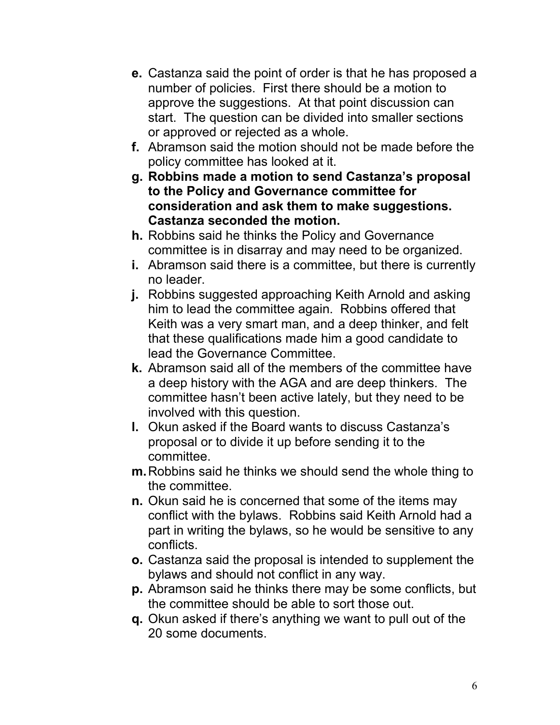- **e.** Castanza said the point of order is that he has proposed a number of policies. First there should be a motion to approve the suggestions. At that point discussion can start. The question can be divided into smaller sections or approved or rejected as a whole.
- **f.** Abramson said the motion should not be made before the policy committee has looked at it.
- **g. Robbins made a motion to send Castanza's proposal to the Policy and Governance committee for consideration and ask them to make suggestions. Castanza seconded the motion.**
- **h.** Robbins said he thinks the Policy and Governance committee is in disarray and may need to be organized.
- **i.** Abramson said there is a committee, but there is currently no leader.
- **j.** Robbins suggested approaching Keith Arnold and asking him to lead the committee again. Robbins offered that Keith was a very smart man, and a deep thinker, and felt that these qualifications made him a good candidate to lead the Governance Committee.
- **k.** Abramson said all of the members of the committee have a deep history with the AGA and are deep thinkers. The committee hasn't been active lately, but they need to be involved with this question.
- **l.** Okun asked if the Board wants to discuss Castanza's proposal or to divide it up before sending it to the committee.
- **m.** Robbins said he thinks we should send the whole thing to the committee.
- **n.** Okun said he is concerned that some of the items may conflict with the bylaws. Robbins said Keith Arnold had a part in writing the bylaws, so he would be sensitive to any conflicts.
- **o.** Castanza said the proposal is intended to supplement the bylaws and should not conflict in any way.
- **p.** Abramson said he thinks there may be some conflicts, but the committee should be able to sort those out.
- **q.** Okun asked if there's anything we want to pull out of the 20 some documents.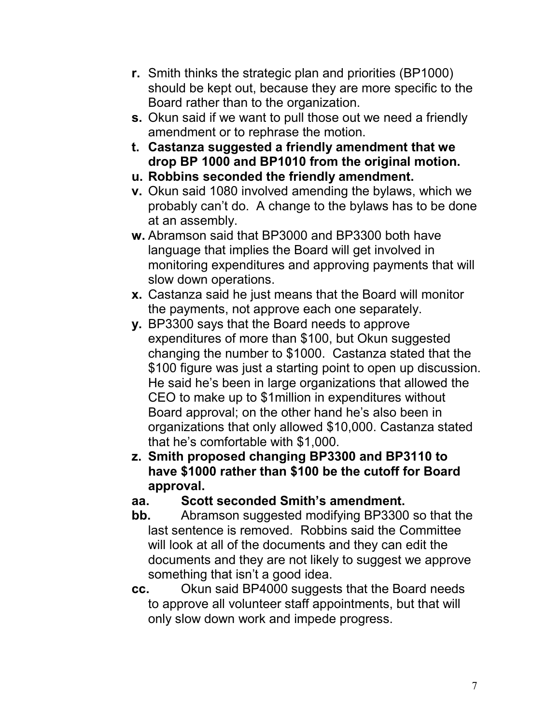- **r.** Smith thinks the strategic plan and priorities (BP1000) should be kept out, because they are more specific to the Board rather than to the organization.
- **s.** Okun said if we want to pull those out we need a friendly amendment or to rephrase the motion.
- **t. Castanza suggested a friendly amendment that we drop BP 1000 and BP1010 from the original motion.**
- **u. Robbins seconded the friendly amendment.**
- **v.** Okun said 1080 involved amending the bylaws, which we probably can't do. A change to the bylaws has to be done at an assembly.
- **w.** Abramson said that BP3000 and BP3300 both have language that implies the Board will get involved in monitoring expenditures and approving payments that will slow down operations.
- **x.** Castanza said he just means that the Board will monitor the payments, not approve each one separately.
- **y.** BP3300 says that the Board needs to approve expenditures of more than \$100, but Okun suggested changing the number to \$1000. Castanza stated that the \$100 figure was just a starting point to open up discussion. He said he's been in large organizations that allowed the CEO to make up to \$1million in expenditures without Board approval; on the other hand he's also been in organizations that only allowed \$10,000. Castanza stated that he's comfortable with \$1,000.
- **z. Smith proposed changing BP3300 and BP3110 to have \$1000 rather than \$100 be the cutoff for Board approval.**

## **aa. Scott seconded Smith's amendment.**

- **bb.** Abramson suggested modifying BP3300 so that the last sentence is removed. Robbins said the Committee will look at all of the documents and they can edit the documents and they are not likely to suggest we approve something that isn't a good idea.
- **cc.** Okun said BP4000 suggests that the Board needs to approve all volunteer staff appointments, but that will only slow down work and impede progress.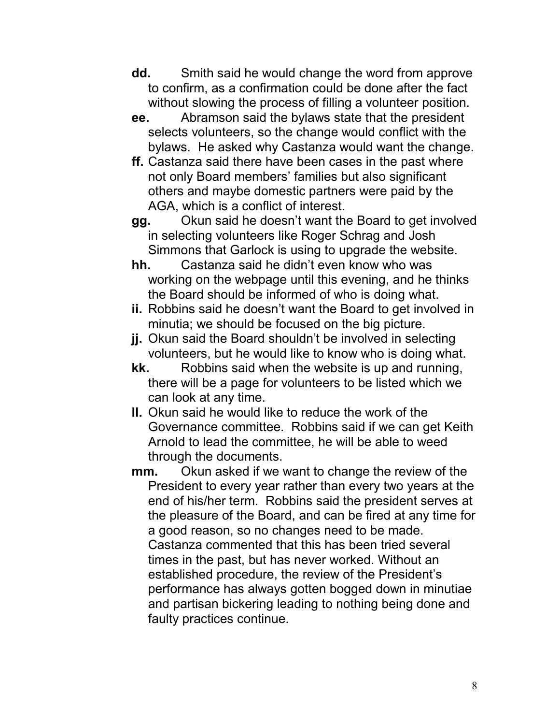- **dd.** Smith said he would change the word from approve to confirm, as a confirmation could be done after the fact without slowing the process of filling a volunteer position.
- **ee.** Abramson said the bylaws state that the president selects volunteers, so the change would conflict with the bylaws. He asked why Castanza would want the change.
- **ff.** Castanza said there have been cases in the past where not only Board members' families but also significant others and maybe domestic partners were paid by the AGA, which is a conflict of interest.
- **gg.** Okun said he doesn't want the Board to get involved in selecting volunteers like Roger Schrag and Josh Simmons that Garlock is using to upgrade the website.
- **hh.** Castanza said he didn't even know who was working on the webpage until this evening, and he thinks the Board should be informed of who is doing what.
- **ii.** Robbins said he doesn't want the Board to get involved in minutia; we should be focused on the big picture.
- **jj.** Okun said the Board shouldn't be involved in selecting volunteers, but he would like to know who is doing what.
- **kk.** Robbins said when the website is up and running, there will be a page for volunteers to be listed which we can look at any time.
- **ll.** Okun said he would like to reduce the work of the Governance committee. Robbins said if we can get Keith Arnold to lead the committee, he will be able to weed through the documents.
- **mm.** Okun asked if we want to change the review of the President to every year rather than every two years at the end of his/her term. Robbins said the president serves at the pleasure of the Board, and can be fired at any time for a good reason, so no changes need to be made. Castanza commented that this has been tried several times in the past, but has never worked. Without an established procedure, the review of the President's performance has always gotten bogged down in minutiae and partisan bickering leading to nothing being done and faulty practices continue.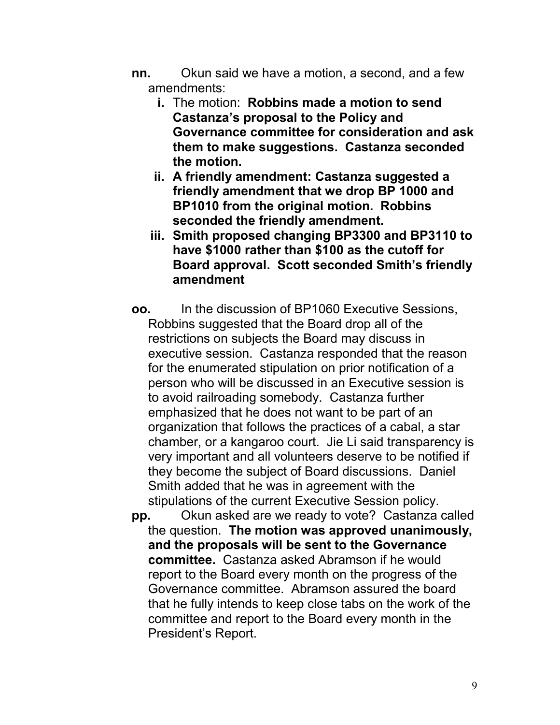- **nn.** Okun said we have a motion, a second, and a few amendments:
	- **i.** The motion: **Robbins made a motion to send Castanza's proposal to the Policy and Governance committee for consideration and ask them to make suggestions. Castanza seconded the motion.**
	- **ii. A friendly amendment: Castanza suggested a friendly amendment that we drop BP 1000 and BP1010 from the original motion. Robbins seconded the friendly amendment.**
	- **iii. Smith proposed changing BP3300 and BP3110 to have \$1000 rather than \$100 as the cutoff for Board approval. Scott seconded Smith's friendly amendment**
- **oo.** In the discussion of BP1060 Executive Sessions, Robbins suggested that the Board drop all of the restrictions on subjects the Board may discuss in executive session. Castanza responded that the reason for the enumerated stipulation on prior notification of a person who will be discussed in an Executive session is to avoid railroading somebody. Castanza further emphasized that he does not want to be part of an organization that follows the practices of a cabal, a star chamber, or a kangaroo court. Jie Li said transparency is very important and all volunteers deserve to be notified if they become the subject of Board discussions. Daniel Smith added that he was in agreement with the stipulations of the current Executive Session policy.
- **pp.** Okun asked are we ready to vote? Castanza called the question. **The motion was approved unanimously, and the proposals will be sent to the Governance committee.** Castanza asked Abramson if he would report to the Board every month on the progress of the Governance committee. Abramson assured the board that he fully intends to keep close tabs on the work of the committee and report to the Board every month in the President's Report.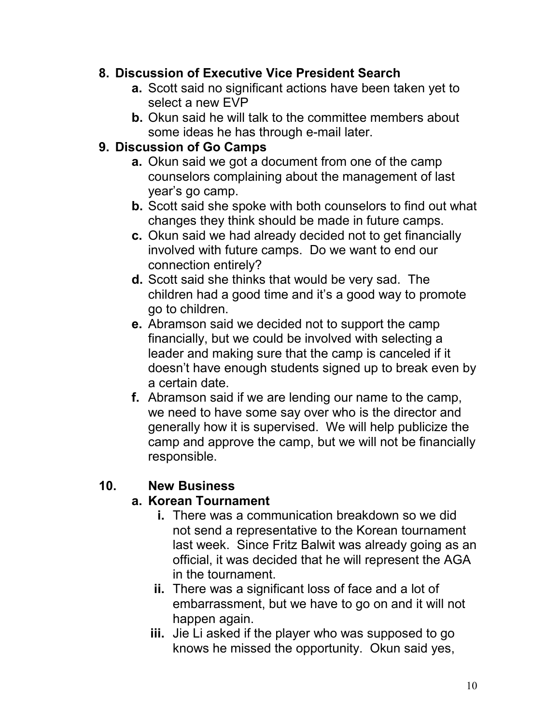### **8. Discussion of Executive Vice President Search**

- **a.** Scott said no significant actions have been taken yet to select a new EVP
- **b.** Okun said he will talk to the committee members about some ideas he has through e-mail later.

### **9. Discussion of Go Camps**

- **a.** Okun said we got a document from one of the camp counselors complaining about the management of last year's go camp.
- **b.** Scott said she spoke with both counselors to find out what changes they think should be made in future camps.
- **c.** Okun said we had already decided not to get financially involved with future camps. Do we want to end our connection entirely?
- **d.** Scott said she thinks that would be very sad. The children had a good time and it's a good way to promote go to children.
- **e.** Abramson said we decided not to support the camp financially, but we could be involved with selecting a leader and making sure that the camp is canceled if it doesn't have enough students signed up to break even by a certain date.
- **f.** Abramson said if we are lending our name to the camp, we need to have some say over who is the director and generally how it is supervised. We will help publicize the camp and approve the camp, but we will not be financially responsible.

## **10. New Business**

### **a. Korean Tournament**

- **i.** There was a communication breakdown so we did not send a representative to the Korean tournament last week. Since Fritz Balwit was already going as an official, it was decided that he will represent the AGA in the tournament.
- **ii.** There was a significant loss of face and a lot of embarrassment, but we have to go on and it will not happen again.
- **iii.** Jie Li asked if the player who was supposed to go knows he missed the opportunity. Okun said yes,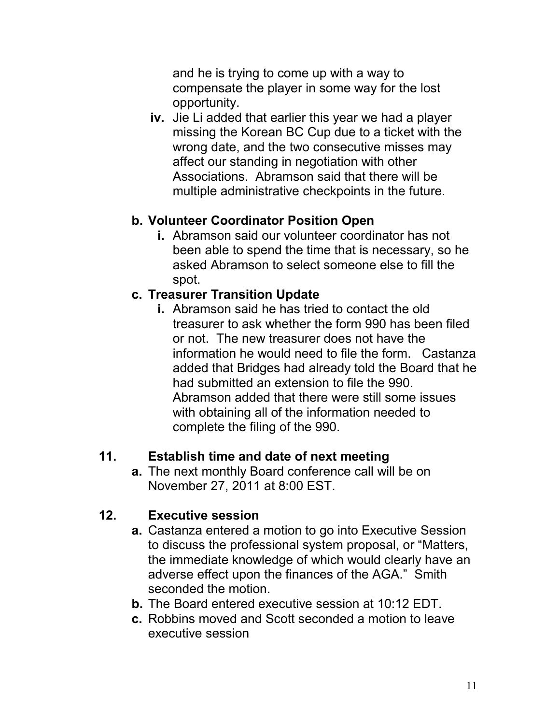and he is trying to come up with a way to compensate the player in some way for the lost opportunity.

**iv.** Jie Li added that earlier this year we had a player missing the Korean BC Cup due to a ticket with the wrong date, and the two consecutive misses may affect our standing in negotiation with other Associations. Abramson said that there will be multiple administrative checkpoints in the future.

### **b. Volunteer Coordinator Position Open**

**i.** Abramson said our volunteer coordinator has not been able to spend the time that is necessary, so he asked Abramson to select someone else to fill the spot.

### **c. Treasurer Transition Update**

**i.** Abramson said he has tried to contact the old treasurer to ask whether the form 990 has been filed or not. The new treasurer does not have the information he would need to file the form. Castanza added that Bridges had already told the Board that he had submitted an extension to file the 990. Abramson added that there were still some issues with obtaining all of the information needed to complete the filing of the 990.

## **11. Establish time and date of next meeting**

**a.** The next monthly Board conference call will be on November 27, 2011 at 8:00 EST.

### **12. Executive session**

- **a.** Castanza entered a motion to go into Executive Session to discuss the professional system proposal, or "Matters, the immediate knowledge of which would clearly have an adverse effect upon the finances of the AGA." Smith seconded the motion.
- **b.** The Board entered executive session at 10:12 EDT.
- **c.** Robbins moved and Scott seconded a motion to leave executive session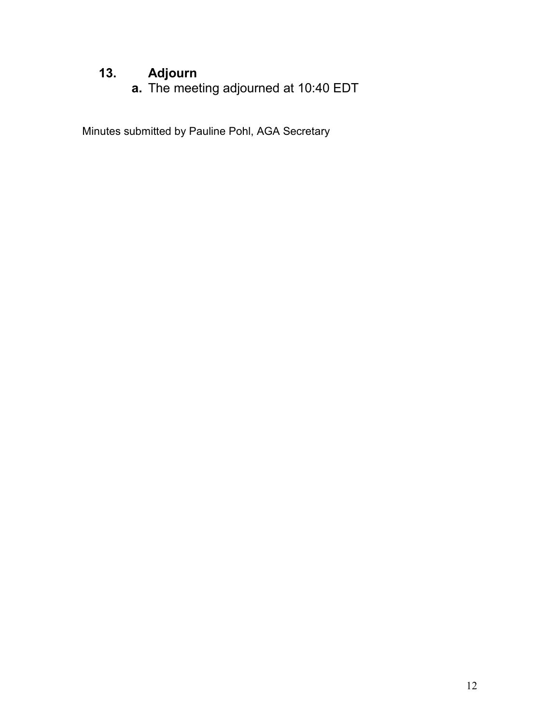# **13. Adjourn**

**a.** The meeting adjourned at 10:40 EDT

Minutes submitted by Pauline Pohl, AGA Secretary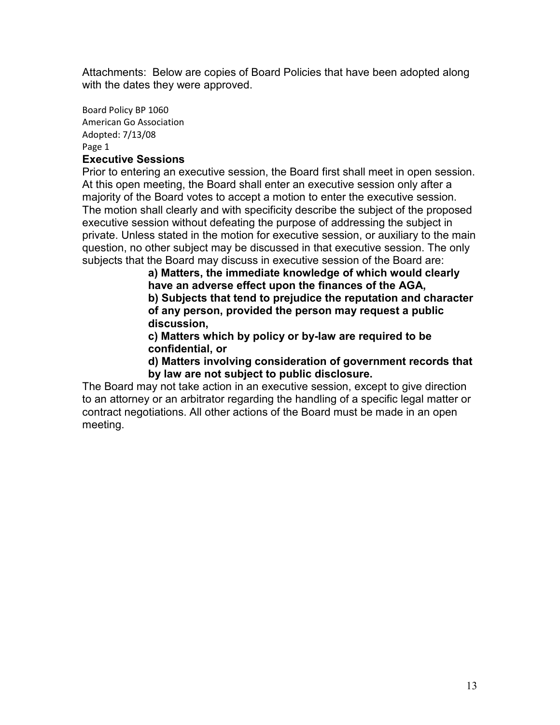Attachments: Below are copies of Board Policies that have been adopted along with the dates they were approved.

Board Policy BP 1060 American Go Association Adopted: 7/13/08 Page 1

#### **Executive Sessions**

Prior to entering an executive session, the Board first shall meet in open session. At this open meeting, the Board shall enter an executive session only after a majority of the Board votes to accept a motion to enter the executive session. The motion shall clearly and with specificity describe the subject of the proposed executive session without defeating the purpose of addressing the subject in private. Unless stated in the motion for executive session, or auxiliary to the main question, no other subject may be discussed in that executive session. The only subjects that the Board may discuss in executive session of the Board are:

**a) Matters, the immediate knowledge of which would clearly have an adverse effect upon the finances of the AGA, b) Subjects that tend to prejudice the reputation and character of any person, provided the person may request a public discussion,** 

**c) Matters which by policy or by-law are required to be confidential, or** 

**d) Matters involving consideration of government records that by law are not subject to public disclosure.**

The Board may not take action in an executive session, except to give direction to an attorney or an arbitrator regarding the handling of a specific legal matter or contract negotiations. All other actions of the Board must be made in an open meeting.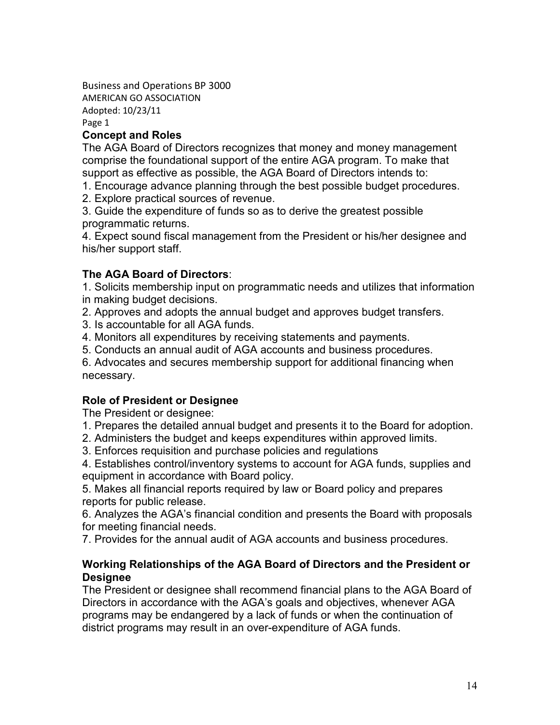Business and Operations BP 3000 AMERICAN GO ASSOCIATION Adopted: 10/23/11 Page 1

#### **Concept and Roles**

The AGA Board of Directors recognizes that money and money management comprise the foundational support of the entire AGA program. To make that support as effective as possible, the AGA Board of Directors intends to:

1. Encourage advance planning through the best possible budget procedures.

2. Explore practical sources of revenue.

3. Guide the expenditure of funds so as to derive the greatest possible programmatic returns.

4. Expect sound fiscal management from the President or his/her designee and his/her support staff.

#### **The AGA Board of Directors**:

1. Solicits membership input on programmatic needs and utilizes that information in making budget decisions.

2. Approves and adopts the annual budget and approves budget transfers.

3. Is accountable for all AGA funds.

4. Monitors all expenditures by receiving statements and payments.

5. Conducts an annual audit of AGA accounts and business procedures.

6. Advocates and secures membership support for additional financing when necessary.

#### **Role of President or Designee**

The President or designee:

1. Prepares the detailed annual budget and presents it to the Board for adoption.

2. Administers the budget and keeps expenditures within approved limits.

3. Enforces requisition and purchase policies and regulations

4. Establishes control/inventory systems to account for AGA funds, supplies and equipment in accordance with Board policy.

5. Makes all financial reports required by law or Board policy and prepares reports for public release.

6. Analyzes the AGA's financial condition and presents the Board with proposals for meeting financial needs.

7. Provides for the annual audit of AGA accounts and business procedures.

#### **Working Relationships of the AGA Board of Directors and the President or Designee**

The President or designee shall recommend financial plans to the AGA Board of Directors in accordance with the AGA's goals and objectives, whenever AGA programs may be endangered by a lack of funds or when the continuation of district programs may result in an over-expenditure of AGA funds.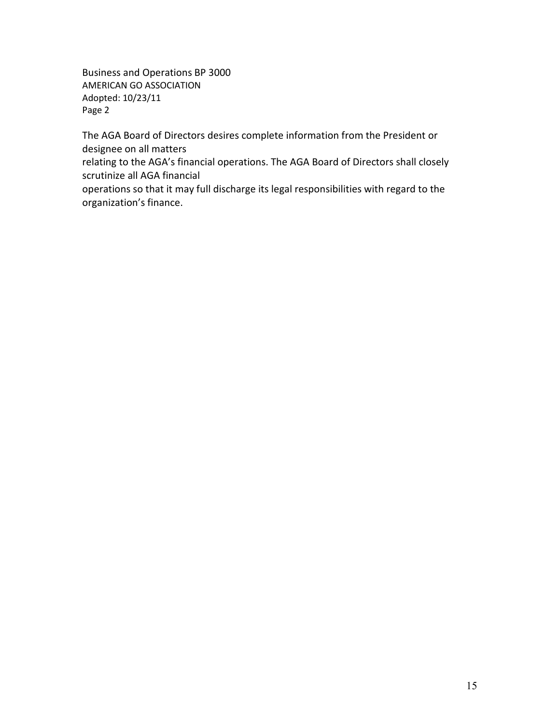Business and Operations BP 3000 AMERICAN GO ASSOCIATION Adopted: 10/23/11 Page 2

The AGA Board of Directors desires complete information from the President or designee on all matters

relating to the AGA's financial operations. The AGA Board of Directors shall closely scrutinize all AGA financial

operations so that it may full discharge its legal responsibilities with regard to the organization's finance.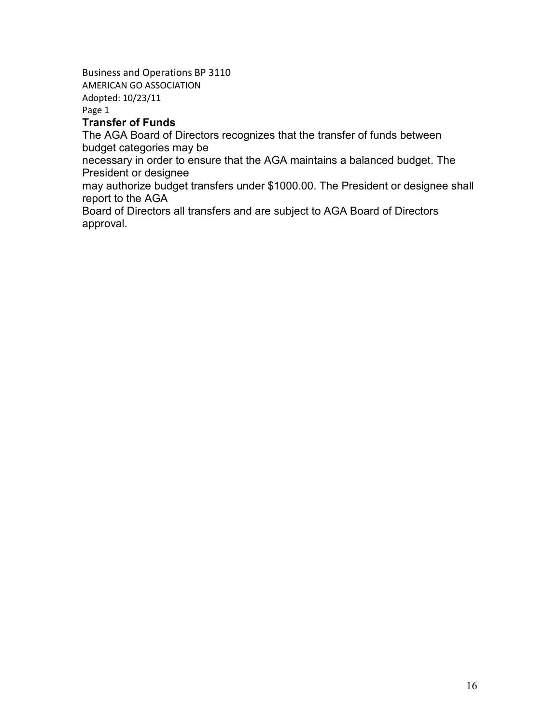Business and Operations BP 3110 AMERICAN GO ASSOCIATION

Adopted: 10/23/11

Page 1

#### **Transfer of Funds**

The AGA Board of Directors recognizes that the transfer of funds between budget categories may be

necessary in order to ensure that the AGA maintains a balanced budget. The President or designee

may authorize budget transfers under \$1000.00. The President or designee shall report to the AGA

Board of Directors all transfers and are subject to AGA Board of Directors approval.